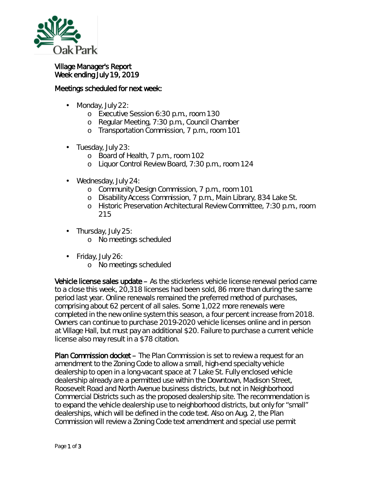

## Village Manager's Report Week ending July 19, 2019

## Meetings scheduled for next week:

- Monday, July 22: L,
	- o Executive Session 6:30 p.m., room 130
	- o Regular Meeting, 7:30 p.m., Council Chamber
	- o Transportation Commission, 7 p.m., room 101
- Tuesday, July 23:
	- o Board of Health, 7 p.m., room 102
	- o Liquor Control Review Board, 7:30 p.m., room 124
- Wednesday, July 24:
	- o Community Design Commission, 7 p.m., room 101
	- o Disability Access Commission, 7 p.m., Main Library, 834 Lake St.
	- o Historic Preservation Architectural Review Committee, 7:30 p.m., room 215
- Thursday, July 25: ¥,
	- o No meetings scheduled
- Friday, July 26: ¥,
	- o No meetings scheduled

Vehicle license sales update – As the *stickerless* vehicle license renewal period came to a close this week, 20,318 licenses had been sold, 86 more than during the same period last year. Online renewals remained the preferred method of purchases, comprising about 62 percent of all sales. Some 1,022 more renewals were completed in the new online system this season, a four percent increase from 2018. Owners can continue to purchase 2019-2020 vehicle licenses online and in person at Village Hall, but must pay an additional \$20. Failure to purchase a current vehicle license also may result in a \$78 citation.

Plan Commission docket – The Plan Commission is set to review a request for an amendment to the Zoning Code to allow a small, high-end specialty vehicle dealership to open in a long-vacant space at 7 Lake St. Fully enclosed vehicle dealership already are a permitted use within the Downtown, Madison Street, Roosevelt Road and North Avenue business districts, but not in Neighborhood Commercial Districts such as the proposed dealership site. The recommendation is to expand the vehicle dealership use to neighborhood districts, but only for "small" dealerships, which will be defined in the code text. Also on Aug. 2, the Plan Commission will review a Zoning Code text amendment and special use permit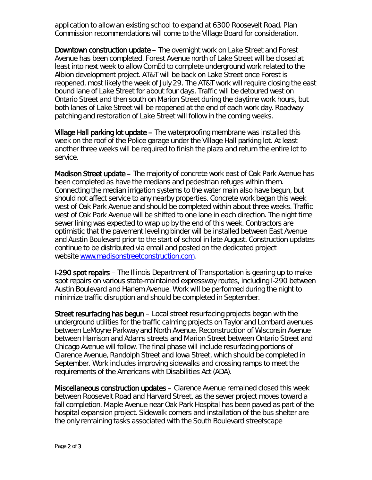application to allow an existing school to expand at 6300 Roosevelt Road. Plan Commission recommendations will come to the Village Board for consideration.

Downtown construction update – The overnight work on Lake Street and Forest Avenue has been completed. Forest Avenue north of Lake Street will be closed at least into next week to allow ComEd to complete underground work related to the Albion development project. AT&T will be back on Lake Street once Forest is reopened, most likely the week of July 29. The AT&T work will require closing the east bound lane of Lake Street for about four days. Traffic will be detoured west on Ontario Street and then south on Marion Street during the daytime work hours, but both lanes of Lake Street will be reopened at the end of each work day. Roadway patching and restoration of Lake Street will follow in the coming weeks.

Village Hall parking lot update – The waterproofing membrane was installed this week on the roof of the Police garage under the Village Hall parking lot. At least another three weeks will be required to finish the plaza and return the entire lot to service.

Madison Street update – The majority of concrete work east of Oak Park Avenue has been completed as have the medians and pedestrian refuges within them. Connecting the median irrigation systems to the water main also have begun, but should not affect service to any nearby properties. Concrete work began this week west of Oak Park Avenue and should be completed within about three weeks. Traffic west of Oak Park Avenue will be shifted to one lane in each direction. The night time sewer lining was expected to wrap up by the end of this week. Contractors are optimistic that the pavement leveling binder will be installed between East Avenue and Austin Boulevard prior to the start of school in late August. Construction updates continue to be distributed via email and posted on the dedicated project website [www.madisonstreetconstruction.com.](http://www.madisonstreetconstruction.com/)

**I-290 spot repairs** – The Illinois Department of Transportation is gearing up to make spot repairs on various state-maintained expressway routes, including I-290 between Austin Boulevard and Harlem Avenue. Work will be performed during the night to minimize traffic disruption and should be completed in September.

Street resurfacing has begun – Local street resurfacing projects began with the underground utilities for the traffic calming projects on Taylor and Lombard avenues between LeMoyne Parkway and North Avenue. Reconstruction of Wisconsin Avenue between Harrison and Adams streets and Marion Street between Ontario Street and Chicago Avenue will follow. The final phase will include resurfacing portions of Clarence Avenue, Randolph Street and Iowa Street, which should be completed in September. Work includes improving sidewalks and crossing ramps to meet the requirements of the Americans with Disabilities Act (ADA).

Miscellaneous construction updates – Clarence Avenue remained closed this week between Roosevelt Road and Harvard Street, as the sewer project moves toward a fall completion. Maple Avenue near Oak Park Hospital has been paved as part of the hospital expansion project. Sidewalk corners and installation of the bus shelter are the only remaining tasks associated with the South Boulevard streetscape